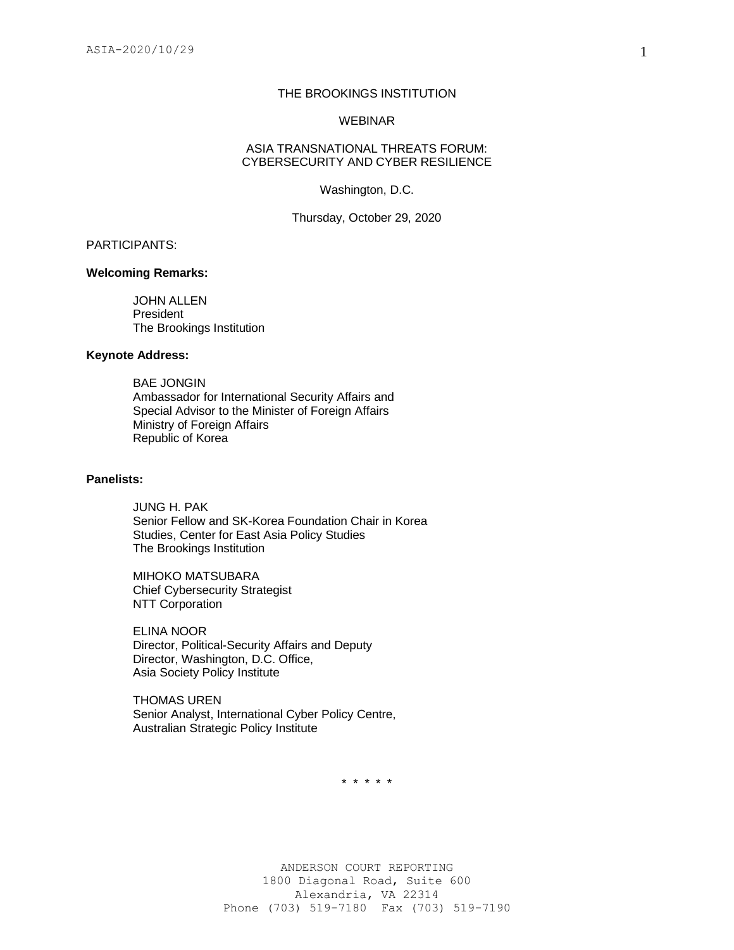# THE BROOKINGS INSTITUTION

#### WEBINAR

#### ASIA TRANSNATIONAL THREATS FORUM: CYBERSECURITY AND CYBER RESILIENCE

Washington, D.C.

Thursday, October 29, 2020

## PARTICIPANTS:

#### **Welcoming Remarks:**

JOHN ALLEN President The Brookings Institution

## **Keynote Address:**

BAE JONGIN Ambassador for International Security Affairs and Special Advisor to the Minister of Foreign Affairs Ministry of Foreign Affairs Republic of Korea

## **Panelists:**

JUNG H. PAK Senior Fellow and SK-Korea Foundation Chair in Korea Studies, Center for East Asia Policy Studies The Brookings Institution

MIHOKO MATSUBARA Chief Cybersecurity Strategist NTT Corporation

ELINA NOOR Director, Political-Security Affairs and Deputy Director, Washington, D.C. Office, Asia Society Policy Institute

THOMAS UREN Senior Analyst, International Cyber Policy Centre, Australian Strategic Policy Institute

\* \* \* \* \*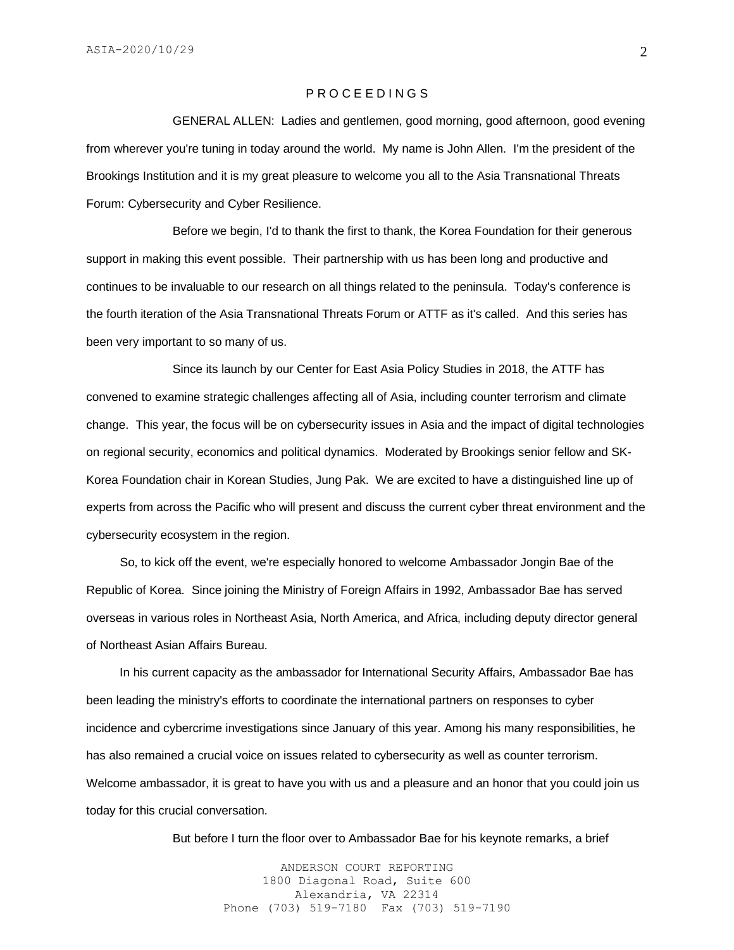## P R O C E E D I N G S

GENERAL ALLEN: Ladies and gentlemen, good morning, good afternoon, good evening from wherever you're tuning in today around the world. My name is John Allen. I'm the president of the Brookings Institution and it is my great pleasure to welcome you all to the Asia Transnational Threats Forum: Cybersecurity and Cyber Resilience.

Before we begin, I'd to thank the first to thank, the Korea Foundation for their generous support in making this event possible. Their partnership with us has been long and productive and continues to be invaluable to our research on all things related to the peninsula. Today's conference is the fourth iteration of the Asia Transnational Threats Forum or ATTF as it's called. And this series has been very important to so many of us.

Since its launch by our Center for East Asia Policy Studies in 2018, the ATTF has convened to examine strategic challenges affecting all of Asia, including counter terrorism and climate change. This year, the focus will be on cybersecurity issues in Asia and the impact of digital technologies on regional security, economics and political dynamics. Moderated by Brookings senior fellow and SK-Korea Foundation chair in Korean Studies, Jung Pak. We are excited to have a distinguished line up of experts from across the Pacific who will present and discuss the current cyber threat environment and the cybersecurity ecosystem in the region.

 So, to kick off the event, we're especially honored to welcome Ambassador Jongin Bae of the Republic of Korea. Since joining the Ministry of Foreign Affairs in 1992, Ambassador Bae has served overseas in various roles in Northeast Asia, North America, and Africa, including deputy director general of Northeast Asian Affairs Bureau.

 In his current capacity as the ambassador for International Security Affairs, Ambassador Bae has been leading the ministry's efforts to coordinate the international partners on responses to cyber incidence and cybercrime investigations since January of this year. Among his many responsibilities, he has also remained a crucial voice on issues related to cybersecurity as well as counter terrorism. Welcome ambassador, it is great to have you with us and a pleasure and an honor that you could join us today for this crucial conversation.

But before I turn the floor over to Ambassador Bae for his keynote remarks, a brief

ANDERSON COURT REPORTING 1800 Diagonal Road, Suite 600 Alexandria, VA 22314 Phone (703) 519-7180 Fax (703) 519-7190 2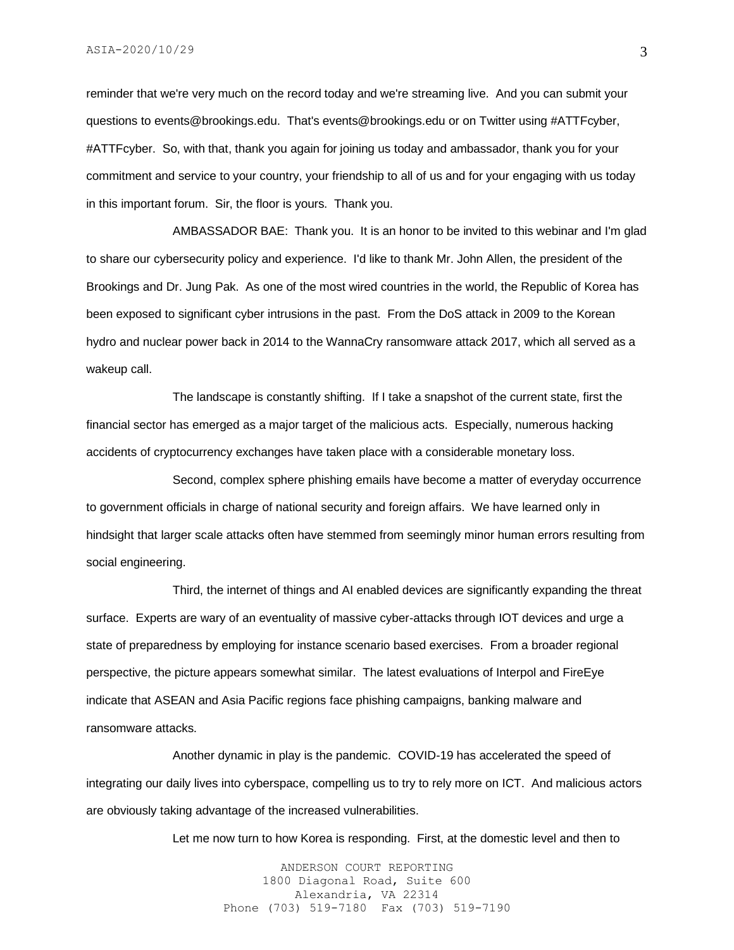reminder that we're very much on the record today and we're streaming live. And you can submit your questions to events@brookings.edu. That's events@brookings.edu or on Twitter using #ATTFcyber, #ATTFcyber. So, with that, thank you again for joining us today and ambassador, thank you for your commitment and service to your country, your friendship to all of us and for your engaging with us today in this important forum. Sir, the floor is yours. Thank you.

AMBASSADOR BAE: Thank you. It is an honor to be invited to this webinar and I'm glad to share our cybersecurity policy and experience. I'd like to thank Mr. John Allen, the president of the Brookings and Dr. Jung Pak. As one of the most wired countries in the world, the Republic of Korea has been exposed to significant cyber intrusions in the past. From the DoS attack in 2009 to the Korean hydro and nuclear power back in 2014 to the WannaCry ransomware attack 2017, which all served as a wakeup call.

The landscape is constantly shifting. If I take a snapshot of the current state, first the financial sector has emerged as a major target of the malicious acts. Especially, numerous hacking accidents of cryptocurrency exchanges have taken place with a considerable monetary loss.

Second, complex sphere phishing emails have become a matter of everyday occurrence to government officials in charge of national security and foreign affairs. We have learned only in hindsight that larger scale attacks often have stemmed from seemingly minor human errors resulting from social engineering.

Third, the internet of things and AI enabled devices are significantly expanding the threat surface. Experts are wary of an eventuality of massive cyber-attacks through IOT devices and urge a state of preparedness by employing for instance scenario based exercises. From a broader regional perspective, the picture appears somewhat similar. The latest evaluations of Interpol and FireEye indicate that ASEAN and Asia Pacific regions face phishing campaigns, banking malware and ransomware attacks.

Another dynamic in play is the pandemic. COVID-19 has accelerated the speed of integrating our daily lives into cyberspace, compelling us to try to rely more on ICT. And malicious actors are obviously taking advantage of the increased vulnerabilities.

Let me now turn to how Korea is responding. First, at the domestic level and then to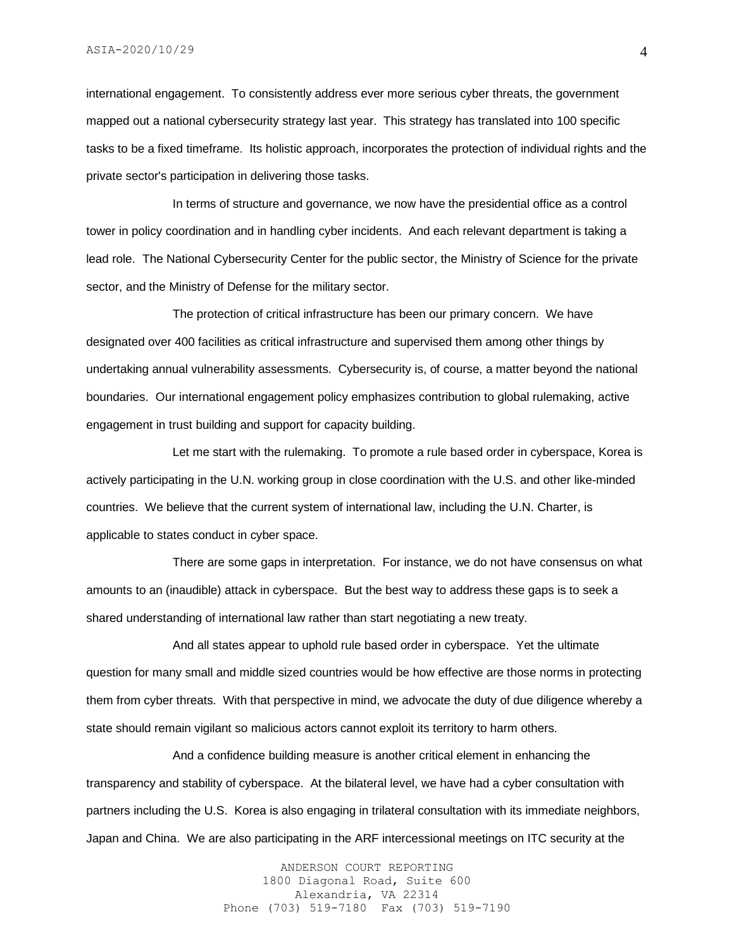international engagement. To consistently address ever more serious cyber threats, the government mapped out a national cybersecurity strategy last year. This strategy has translated into 100 specific tasks to be a fixed timeframe. Its holistic approach, incorporates the protection of individual rights and the private sector's participation in delivering those tasks.

In terms of structure and governance, we now have the presidential office as a control tower in policy coordination and in handling cyber incidents. And each relevant department is taking a lead role. The National Cybersecurity Center for the public sector, the Ministry of Science for the private sector, and the Ministry of Defense for the military sector.

The protection of critical infrastructure has been our primary concern. We have designated over 400 facilities as critical infrastructure and supervised them among other things by undertaking annual vulnerability assessments. Cybersecurity is, of course, a matter beyond the national boundaries. Our international engagement policy emphasizes contribution to global rulemaking, active engagement in trust building and support for capacity building.

Let me start with the rulemaking. To promote a rule based order in cyberspace, Korea is actively participating in the U.N. working group in close coordination with the U.S. and other like-minded countries. We believe that the current system of international law, including the U.N. Charter, is applicable to states conduct in cyber space.

There are some gaps in interpretation. For instance, we do not have consensus on what amounts to an (inaudible) attack in cyberspace. But the best way to address these gaps is to seek a shared understanding of international law rather than start negotiating a new treaty.

And all states appear to uphold rule based order in cyberspace. Yet the ultimate question for many small and middle sized countries would be how effective are those norms in protecting them from cyber threats. With that perspective in mind, we advocate the duty of due diligence whereby a state should remain vigilant so malicious actors cannot exploit its territory to harm others.

And a confidence building measure is another critical element in enhancing the transparency and stability of cyberspace. At the bilateral level, we have had a cyber consultation with partners including the U.S. Korea is also engaging in trilateral consultation with its immediate neighbors, Japan and China. We are also participating in the ARF intercessional meetings on ITC security at the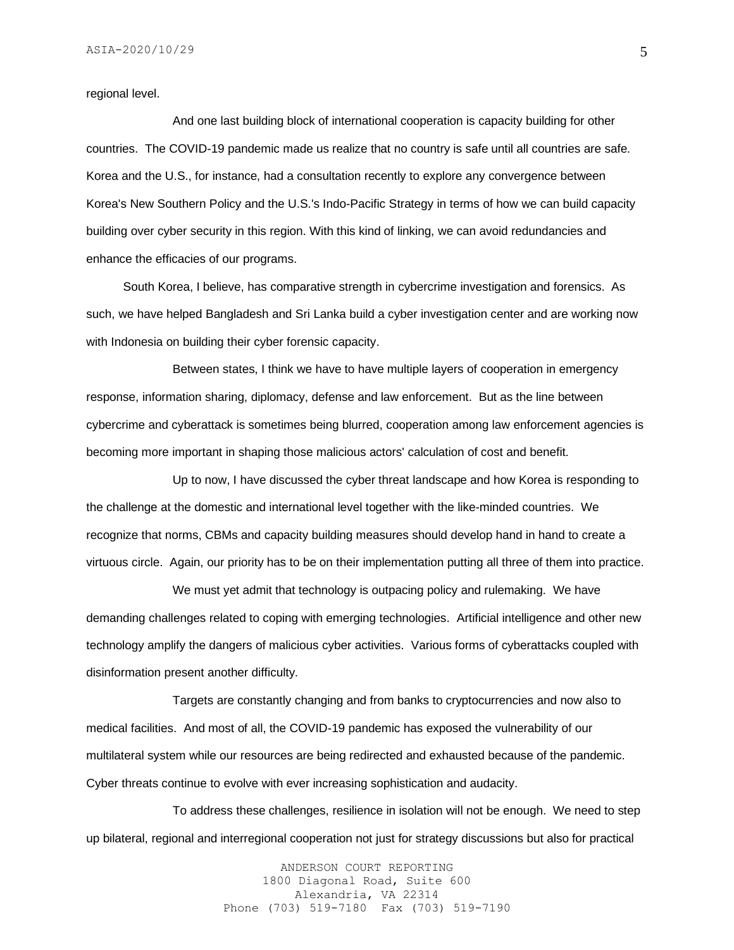regional level.

And one last building block of international cooperation is capacity building for other countries. The COVID-19 pandemic made us realize that no country is safe until all countries are safe. Korea and the U.S., for instance, had a consultation recently to explore any convergence between Korea's New Southern Policy and the U.S.'s Indo-Pacific Strategy in terms of how we can build capacity building over cyber security in this region. With this kind of linking, we can avoid redundancies and enhance the efficacies of our programs.

 South Korea, I believe, has comparative strength in cybercrime investigation and forensics. As such, we have helped Bangladesh and Sri Lanka build a cyber investigation center and are working now with Indonesia on building their cyber forensic capacity.

Between states, I think we have to have multiple layers of cooperation in emergency response, information sharing, diplomacy, defense and law enforcement. But as the line between cybercrime and cyberattack is sometimes being blurred, cooperation among law enforcement agencies is becoming more important in shaping those malicious actors' calculation of cost and benefit.

Up to now, I have discussed the cyber threat landscape and how Korea is responding to the challenge at the domestic and international level together with the like-minded countries. We recognize that norms, CBMs and capacity building measures should develop hand in hand to create a virtuous circle. Again, our priority has to be on their implementation putting all three of them into practice.

We must yet admit that technology is outpacing policy and rulemaking. We have demanding challenges related to coping with emerging technologies. Artificial intelligence and other new technology amplify the dangers of malicious cyber activities. Various forms of cyberattacks coupled with disinformation present another difficulty.

Targets are constantly changing and from banks to cryptocurrencies and now also to medical facilities. And most of all, the COVID-19 pandemic has exposed the vulnerability of our multilateral system while our resources are being redirected and exhausted because of the pandemic. Cyber threats continue to evolve with ever increasing sophistication and audacity.

To address these challenges, resilience in isolation will not be enough. We need to step up bilateral, regional and interregional cooperation not just for strategy discussions but also for practical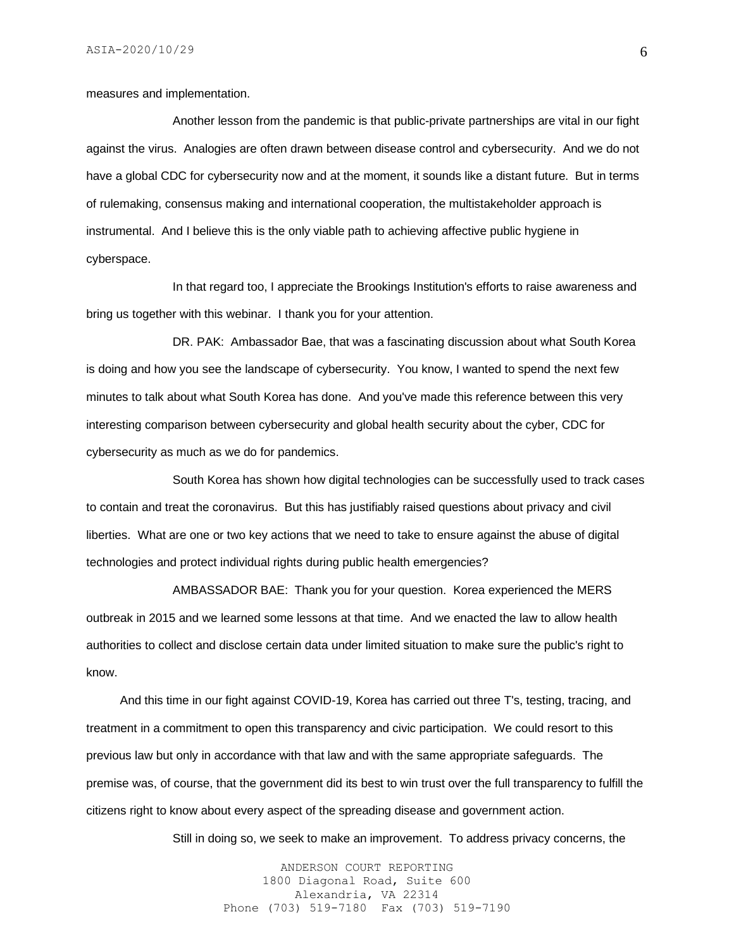measures and implementation.

Another lesson from the pandemic is that public-private partnerships are vital in our fight against the virus. Analogies are often drawn between disease control and cybersecurity. And we do not have a global CDC for cybersecurity now and at the moment, it sounds like a distant future. But in terms of rulemaking, consensus making and international cooperation, the multistakeholder approach is instrumental. And I believe this is the only viable path to achieving affective public hygiene in cyberspace.

In that regard too, I appreciate the Brookings Institution's efforts to raise awareness and bring us together with this webinar. I thank you for your attention.

DR. PAK: Ambassador Bae, that was a fascinating discussion about what South Korea is doing and how you see the landscape of cybersecurity. You know, I wanted to spend the next few minutes to talk about what South Korea has done. And you've made this reference between this very interesting comparison between cybersecurity and global health security about the cyber, CDC for cybersecurity as much as we do for pandemics.

South Korea has shown how digital technologies can be successfully used to track cases to contain and treat the coronavirus. But this has justifiably raised questions about privacy and civil liberties. What are one or two key actions that we need to take to ensure against the abuse of digital technologies and protect individual rights during public health emergencies?

AMBASSADOR BAE: Thank you for your question. Korea experienced the MERS outbreak in 2015 and we learned some lessons at that time. And we enacted the law to allow health authorities to collect and disclose certain data under limited situation to make sure the public's right to know.

 And this time in our fight against COVID-19, Korea has carried out three T's, testing, tracing, and treatment in a commitment to open this transparency and civic participation. We could resort to this previous law but only in accordance with that law and with the same appropriate safeguards. The premise was, of course, that the government did its best to win trust over the full transparency to fulfill the citizens right to know about every aspect of the spreading disease and government action.

Still in doing so, we seek to make an improvement. To address privacy concerns, the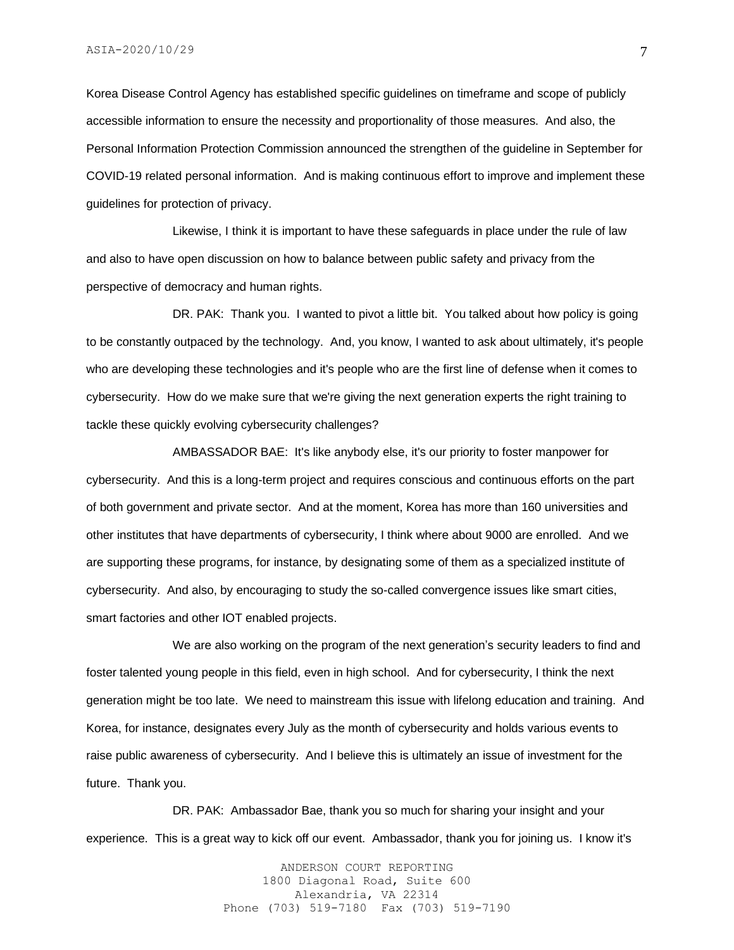Korea Disease Control Agency has established specific guidelines on timeframe and scope of publicly accessible information to ensure the necessity and proportionality of those measures. And also, the Personal Information Protection Commission announced the strengthen of the guideline in September for COVID-19 related personal information. And is making continuous effort to improve and implement these guidelines for protection of privacy.

Likewise, I think it is important to have these safeguards in place under the rule of law and also to have open discussion on how to balance between public safety and privacy from the perspective of democracy and human rights.

DR. PAK: Thank you. I wanted to pivot a little bit. You talked about how policy is going to be constantly outpaced by the technology. And, you know, I wanted to ask about ultimately, it's people who are developing these technologies and it's people who are the first line of defense when it comes to cybersecurity. How do we make sure that we're giving the next generation experts the right training to tackle these quickly evolving cybersecurity challenges?

AMBASSADOR BAE: It's like anybody else, it's our priority to foster manpower for cybersecurity. And this is a long-term project and requires conscious and continuous efforts on the part of both government and private sector. And at the moment, Korea has more than 160 universities and other institutes that have departments of cybersecurity, I think where about 9000 are enrolled. And we are supporting these programs, for instance, by designating some of them as a specialized institute of cybersecurity. And also, by encouraging to study the so-called convergence issues like smart cities, smart factories and other IOT enabled projects.

We are also working on the program of the next generation's security leaders to find and foster talented young people in this field, even in high school. And for cybersecurity, I think the next generation might be too late. We need to mainstream this issue with lifelong education and training. And Korea, for instance, designates every July as the month of cybersecurity and holds various events to raise public awareness of cybersecurity. And I believe this is ultimately an issue of investment for the future. Thank you.

DR. PAK: Ambassador Bae, thank you so much for sharing your insight and your experience. This is a great way to kick off our event. Ambassador, thank you for joining us. I know it's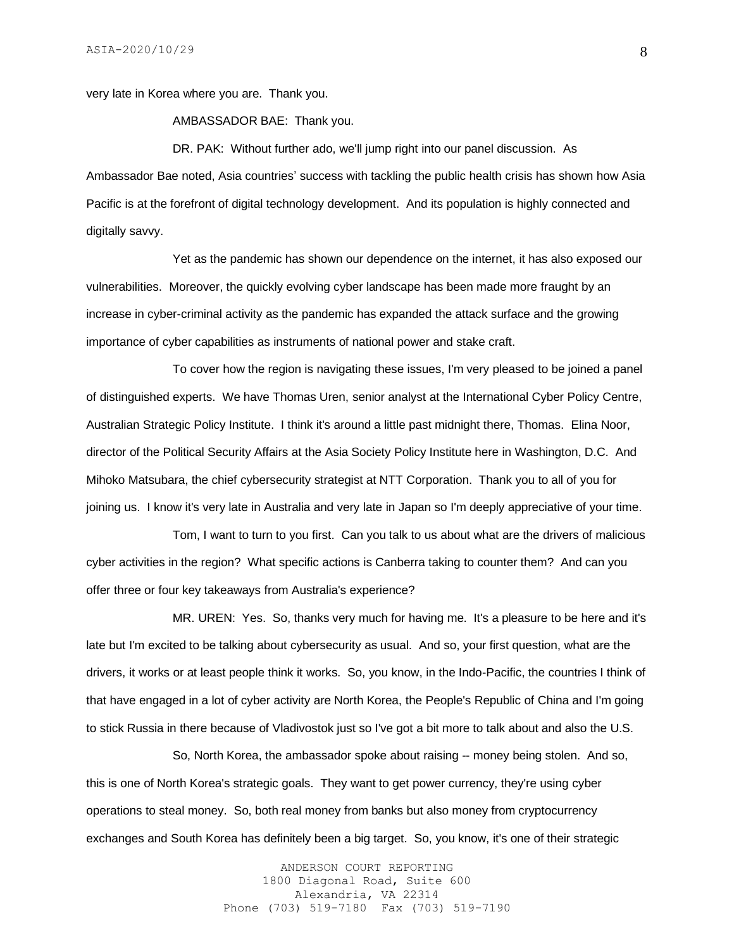very late in Korea where you are. Thank you.

AMBASSADOR BAE: Thank you.

DR. PAK: Without further ado, we'll jump right into our panel discussion. As Ambassador Bae noted, Asia countries' success with tackling the public health crisis has shown how Asia Pacific is at the forefront of digital technology development. And its population is highly connected and digitally savvy.

Yet as the pandemic has shown our dependence on the internet, it has also exposed our vulnerabilities. Moreover, the quickly evolving cyber landscape has been made more fraught by an increase in cyber-criminal activity as the pandemic has expanded the attack surface and the growing importance of cyber capabilities as instruments of national power and stake craft.

To cover how the region is navigating these issues, I'm very pleased to be joined a panel of distinguished experts. We have Thomas Uren, senior analyst at the International Cyber Policy Centre, Australian Strategic Policy Institute. I think it's around a little past midnight there, Thomas. Elina Noor, director of the Political Security Affairs at the Asia Society Policy Institute here in Washington, D.C. And Mihoko Matsubara, the chief cybersecurity strategist at NTT Corporation. Thank you to all of you for joining us. I know it's very late in Australia and very late in Japan so I'm deeply appreciative of your time.

Tom, I want to turn to you first. Can you talk to us about what are the drivers of malicious cyber activities in the region? What specific actions is Canberra taking to counter them? And can you offer three or four key takeaways from Australia's experience?

MR. UREN: Yes. So, thanks very much for having me. It's a pleasure to be here and it's late but I'm excited to be talking about cybersecurity as usual. And so, your first question, what are the drivers, it works or at least people think it works. So, you know, in the Indo-Pacific, the countries I think of that have engaged in a lot of cyber activity are North Korea, the People's Republic of China and I'm going to stick Russia in there because of Vladivostok just so I've got a bit more to talk about and also the U.S.

So, North Korea, the ambassador spoke about raising -- money being stolen. And so, this is one of North Korea's strategic goals. They want to get power currency, they're using cyber operations to steal money. So, both real money from banks but also money from cryptocurrency exchanges and South Korea has definitely been a big target. So, you know, it's one of their strategic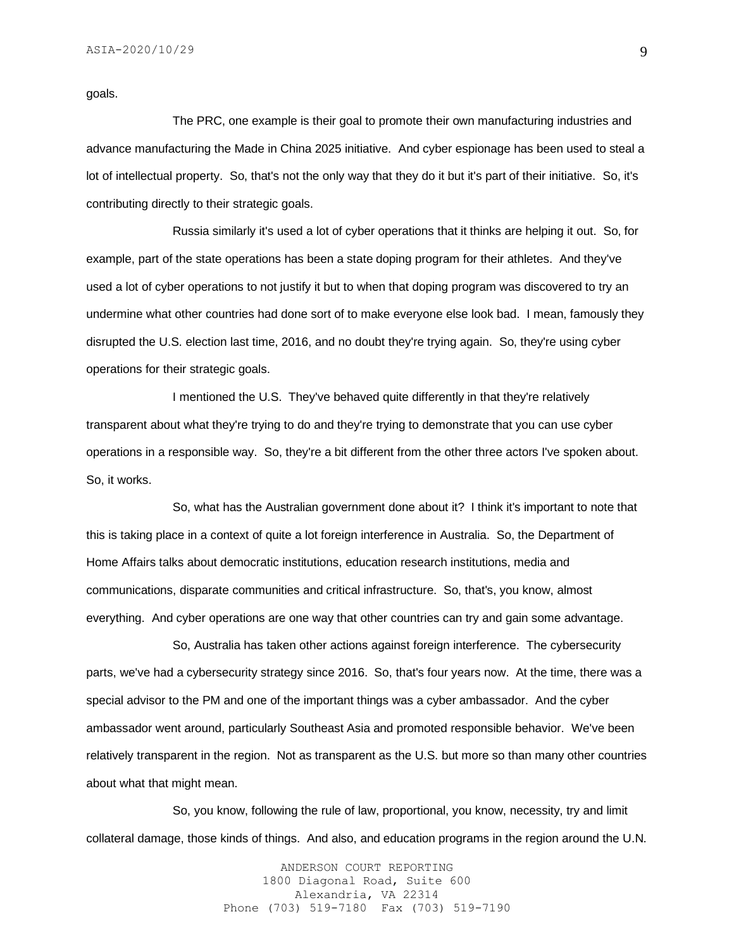goals.

The PRC, one example is their goal to promote their own manufacturing industries and advance manufacturing the Made in China 2025 initiative. And cyber espionage has been used to steal a lot of intellectual property. So, that's not the only way that they do it but it's part of their initiative. So, it's contributing directly to their strategic goals.

Russia similarly it's used a lot of cyber operations that it thinks are helping it out. So, for example, part of the state operations has been a state doping program for their athletes. And they've used a lot of cyber operations to not justify it but to when that doping program was discovered to try an undermine what other countries had done sort of to make everyone else look bad. I mean, famously they disrupted the U.S. election last time, 2016, and no doubt they're trying again. So, they're using cyber operations for their strategic goals.

I mentioned the U.S. They've behaved quite differently in that they're relatively transparent about what they're trying to do and they're trying to demonstrate that you can use cyber operations in a responsible way. So, they're a bit different from the other three actors I've spoken about. So, it works.

So, what has the Australian government done about it? I think it's important to note that this is taking place in a context of quite a lot foreign interference in Australia. So, the Department of Home Affairs talks about democratic institutions, education research institutions, media and communications, disparate communities and critical infrastructure. So, that's, you know, almost everything. And cyber operations are one way that other countries can try and gain some advantage.

So, Australia has taken other actions against foreign interference. The cybersecurity parts, we've had a cybersecurity strategy since 2016. So, that's four years now. At the time, there was a special advisor to the PM and one of the important things was a cyber ambassador. And the cyber ambassador went around, particularly Southeast Asia and promoted responsible behavior. We've been relatively transparent in the region. Not as transparent as the U.S. but more so than many other countries about what that might mean.

So, you know, following the rule of law, proportional, you know, necessity, try and limit collateral damage, those kinds of things. And also, and education programs in the region around the U.N.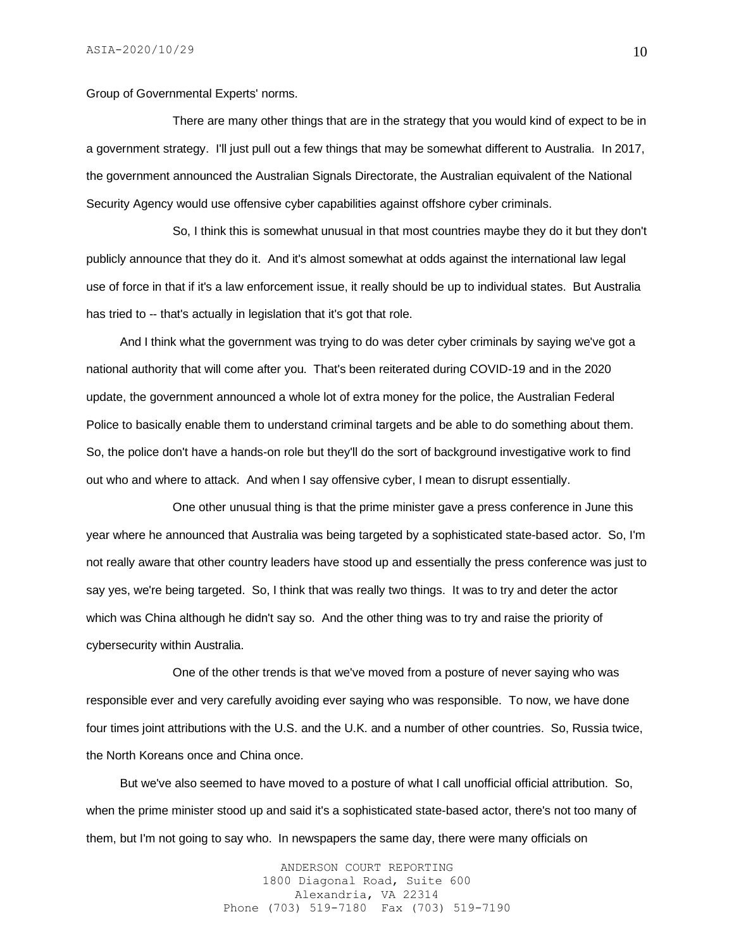Group of Governmental Experts' norms.

There are many other things that are in the strategy that you would kind of expect to be in a government strategy. I'll just pull out a few things that may be somewhat different to Australia. In 2017, the government announced the Australian Signals Directorate, the Australian equivalent of the National Security Agency would use offensive cyber capabilities against offshore cyber criminals.

So, I think this is somewhat unusual in that most countries maybe they do it but they don't publicly announce that they do it. And it's almost somewhat at odds against the international law legal use of force in that if it's a law enforcement issue, it really should be up to individual states. But Australia has tried to -- that's actually in legislation that it's got that role.

 And I think what the government was trying to do was deter cyber criminals by saying we've got a national authority that will come after you. That's been reiterated during COVID-19 and in the 2020 update, the government announced a whole lot of extra money for the police, the Australian Federal Police to basically enable them to understand criminal targets and be able to do something about them. So, the police don't have a hands-on role but they'll do the sort of background investigative work to find out who and where to attack. And when I say offensive cyber, I mean to disrupt essentially.

One other unusual thing is that the prime minister gave a press conference in June this year where he announced that Australia was being targeted by a sophisticated state-based actor. So, I'm not really aware that other country leaders have stood up and essentially the press conference was just to say yes, we're being targeted. So, I think that was really two things. It was to try and deter the actor which was China although he didn't say so. And the other thing was to try and raise the priority of cybersecurity within Australia.

One of the other trends is that we've moved from a posture of never saying who was responsible ever and very carefully avoiding ever saying who was responsible. To now, we have done four times joint attributions with the U.S. and the U.K. and a number of other countries. So, Russia twice, the North Koreans once and China once.

 But we've also seemed to have moved to a posture of what I call unofficial official attribution. So, when the prime minister stood up and said it's a sophisticated state-based actor, there's not too many of them, but I'm not going to say who. In newspapers the same day, there were many officials on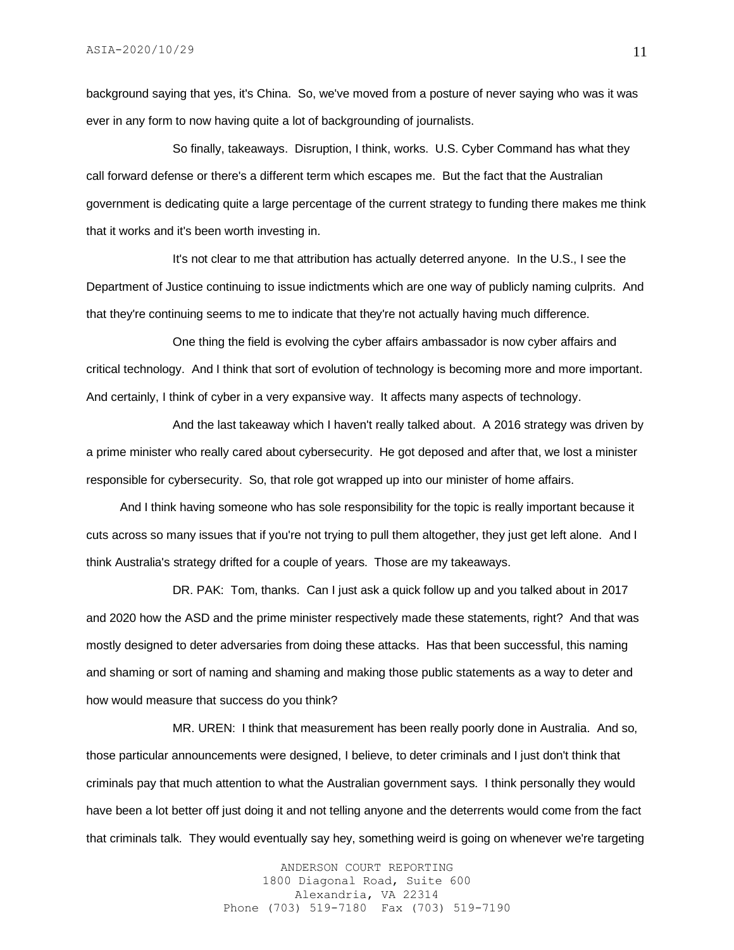background saying that yes, it's China. So, we've moved from a posture of never saying who was it was ever in any form to now having quite a lot of backgrounding of journalists.

So finally, takeaways. Disruption, I think, works. U.S. Cyber Command has what they call forward defense or there's a different term which escapes me. But the fact that the Australian government is dedicating quite a large percentage of the current strategy to funding there makes me think that it works and it's been worth investing in.

It's not clear to me that attribution has actually deterred anyone. In the U.S., I see the Department of Justice continuing to issue indictments which are one way of publicly naming culprits. And that they're continuing seems to me to indicate that they're not actually having much difference.

One thing the field is evolving the cyber affairs ambassador is now cyber affairs and critical technology. And I think that sort of evolution of technology is becoming more and more important. And certainly, I think of cyber in a very expansive way. It affects many aspects of technology.

And the last takeaway which I haven't really talked about. A 2016 strategy was driven by a prime minister who really cared about cybersecurity. He got deposed and after that, we lost a minister responsible for cybersecurity. So, that role got wrapped up into our minister of home affairs.

 And I think having someone who has sole responsibility for the topic is really important because it cuts across so many issues that if you're not trying to pull them altogether, they just get left alone. And I think Australia's strategy drifted for a couple of years. Those are my takeaways.

DR. PAK: Tom, thanks. Can I just ask a quick follow up and you talked about in 2017 and 2020 how the ASD and the prime minister respectively made these statements, right? And that was mostly designed to deter adversaries from doing these attacks. Has that been successful, this naming and shaming or sort of naming and shaming and making those public statements as a way to deter and how would measure that success do you think?

MR. UREN: I think that measurement has been really poorly done in Australia. And so, those particular announcements were designed, I believe, to deter criminals and I just don't think that criminals pay that much attention to what the Australian government says. I think personally they would have been a lot better off just doing it and not telling anyone and the deterrents would come from the fact that criminals talk. They would eventually say hey, something weird is going on whenever we're targeting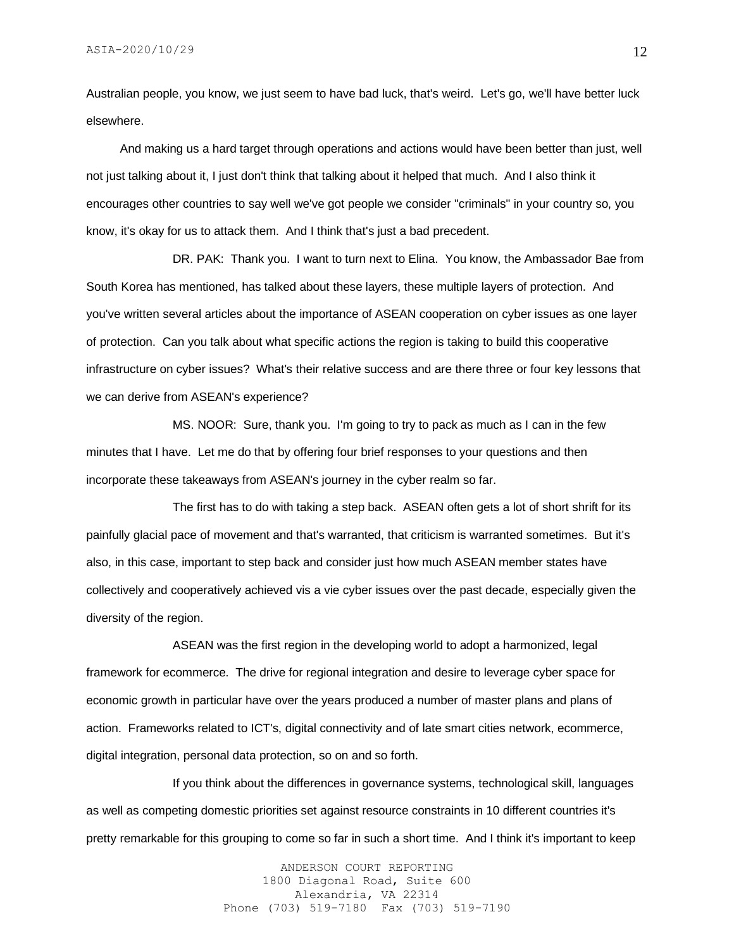Australian people, you know, we just seem to have bad luck, that's weird. Let's go, we'll have better luck elsewhere.

 And making us a hard target through operations and actions would have been better than just, well not just talking about it, I just don't think that talking about it helped that much. And I also think it encourages other countries to say well we've got people we consider "criminals" in your country so, you know, it's okay for us to attack them. And I think that's just a bad precedent.

DR. PAK: Thank you. I want to turn next to Elina. You know, the Ambassador Bae from South Korea has mentioned, has talked about these layers, these multiple layers of protection. And you've written several articles about the importance of ASEAN cooperation on cyber issues as one layer of protection. Can you talk about what specific actions the region is taking to build this cooperative infrastructure on cyber issues? What's their relative success and are there three or four key lessons that we can derive from ASEAN's experience?

MS. NOOR: Sure, thank you. I'm going to try to pack as much as I can in the few minutes that I have. Let me do that by offering four brief responses to your questions and then incorporate these takeaways from ASEAN's journey in the cyber realm so far.

The first has to do with taking a step back. ASEAN often gets a lot of short shrift for its painfully glacial pace of movement and that's warranted, that criticism is warranted sometimes. But it's also, in this case, important to step back and consider just how much ASEAN member states have collectively and cooperatively achieved vis a vie cyber issues over the past decade, especially given the diversity of the region.

ASEAN was the first region in the developing world to adopt a harmonized, legal framework for ecommerce. The drive for regional integration and desire to leverage cyber space for economic growth in particular have over the years produced a number of master plans and plans of action. Frameworks related to ICT's, digital connectivity and of late smart cities network, ecommerce, digital integration, personal data protection, so on and so forth.

If you think about the differences in governance systems, technological skill, languages as well as competing domestic priorities set against resource constraints in 10 different countries it's pretty remarkable for this grouping to come so far in such a short time. And I think it's important to keep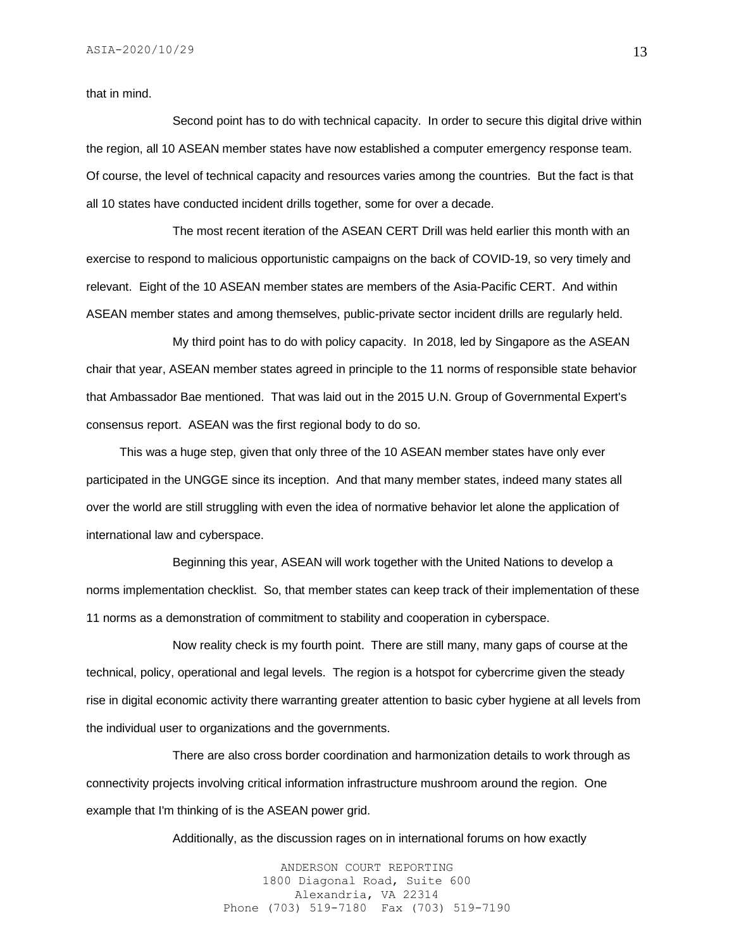that in mind.

Second point has to do with technical capacity. In order to secure this digital drive within the region, all 10 ASEAN member states have now established a computer emergency response team. Of course, the level of technical capacity and resources varies among the countries. But the fact is that all 10 states have conducted incident drills together, some for over a decade.

The most recent iteration of the ASEAN CERT Drill was held earlier this month with an exercise to respond to malicious opportunistic campaigns on the back of COVID-19, so very timely and relevant. Eight of the 10 ASEAN member states are members of the Asia-Pacific CERT. And within ASEAN member states and among themselves, public-private sector incident drills are regularly held.

My third point has to do with policy capacity. In 2018, led by Singapore as the ASEAN chair that year, ASEAN member states agreed in principle to the 11 norms of responsible state behavior that Ambassador Bae mentioned. That was laid out in the 2015 U.N. Group of Governmental Expert's consensus report. ASEAN was the first regional body to do so.

 This was a huge step, given that only three of the 10 ASEAN member states have only ever participated in the UNGGE since its inception. And that many member states, indeed many states all over the world are still struggling with even the idea of normative behavior let alone the application of international law and cyberspace.

Beginning this year, ASEAN will work together with the United Nations to develop a norms implementation checklist. So, that member states can keep track of their implementation of these 11 norms as a demonstration of commitment to stability and cooperation in cyberspace.

Now reality check is my fourth point. There are still many, many gaps of course at the technical, policy, operational and legal levels. The region is a hotspot for cybercrime given the steady rise in digital economic activity there warranting greater attention to basic cyber hygiene at all levels from the individual user to organizations and the governments.

There are also cross border coordination and harmonization details to work through as connectivity projects involving critical information infrastructure mushroom around the region. One example that I'm thinking of is the ASEAN power grid.

Additionally, as the discussion rages on in international forums on how exactly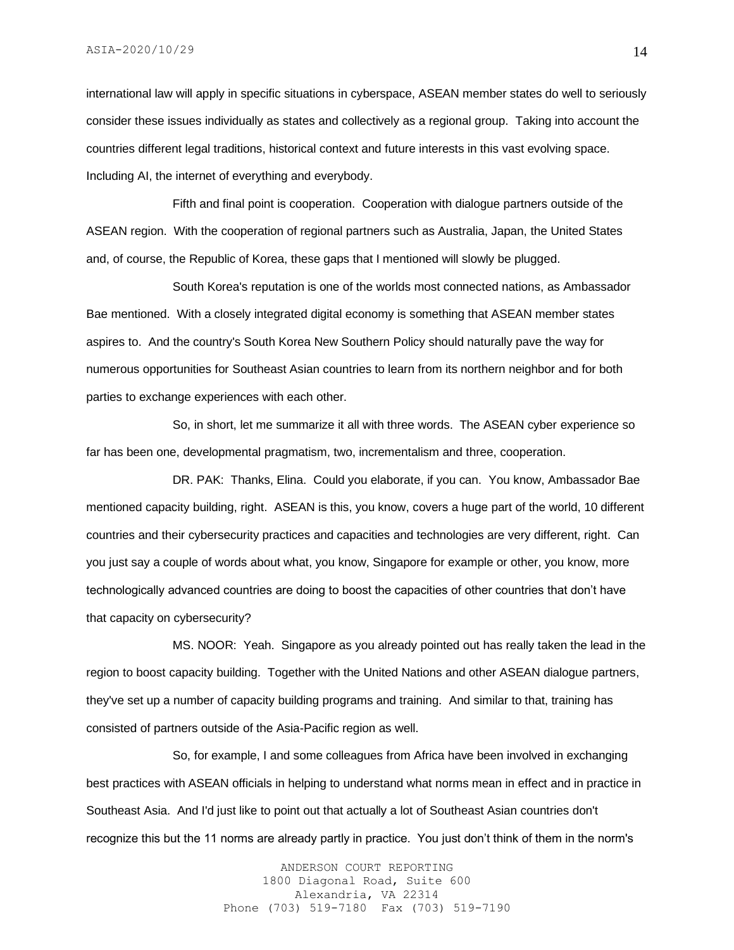international law will apply in specific situations in cyberspace, ASEAN member states do well to seriously consider these issues individually as states and collectively as a regional group. Taking into account the countries different legal traditions, historical context and future interests in this vast evolving space. Including AI, the internet of everything and everybody.

Fifth and final point is cooperation. Cooperation with dialogue partners outside of the ASEAN region. With the cooperation of regional partners such as Australia, Japan, the United States and, of course, the Republic of Korea, these gaps that I mentioned will slowly be plugged.

South Korea's reputation is one of the worlds most connected nations, as Ambassador Bae mentioned. With a closely integrated digital economy is something that ASEAN member states aspires to. And the country's South Korea New Southern Policy should naturally pave the way for numerous opportunities for Southeast Asian countries to learn from its northern neighbor and for both parties to exchange experiences with each other.

So, in short, let me summarize it all with three words. The ASEAN cyber experience so far has been one, developmental pragmatism, two, incrementalism and three, cooperation.

DR. PAK: Thanks, Elina. Could you elaborate, if you can. You know, Ambassador Bae mentioned capacity building, right. ASEAN is this, you know, covers a huge part of the world, 10 different countries and their cybersecurity practices and capacities and technologies are very different, right. Can you just say a couple of words about what, you know, Singapore for example or other, you know, more technologically advanced countries are doing to boost the capacities of other countries that don't have that capacity on cybersecurity?

MS. NOOR: Yeah. Singapore as you already pointed out has really taken the lead in the region to boost capacity building. Together with the United Nations and other ASEAN dialogue partners, they've set up a number of capacity building programs and training. And similar to that, training has consisted of partners outside of the Asia-Pacific region as well.

So, for example, I and some colleagues from Africa have been involved in exchanging best practices with ASEAN officials in helping to understand what norms mean in effect and in practice in Southeast Asia. And I'd just like to point out that actually a lot of Southeast Asian countries don't recognize this but the 11 norms are already partly in practice. You just don't think of them in the norm's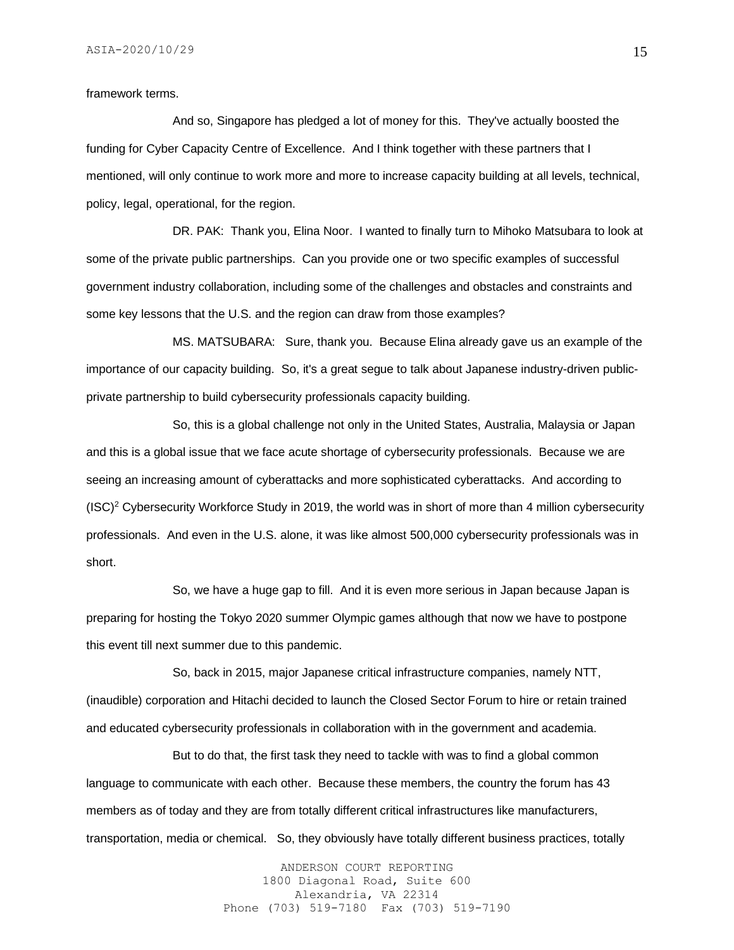framework terms.

And so, Singapore has pledged a lot of money for this. They've actually boosted the funding for Cyber Capacity Centre of Excellence. And I think together with these partners that I mentioned, will only continue to work more and more to increase capacity building at all levels, technical, policy, legal, operational, for the region.

DR. PAK: Thank you, Elina Noor. I wanted to finally turn to Mihoko Matsubara to look at some of the private public partnerships. Can you provide one or two specific examples of successful government industry collaboration, including some of the challenges and obstacles and constraints and some key lessons that the U.S. and the region can draw from those examples?

MS. MATSUBARA: Sure, thank you. Because Elina already gave us an example of the importance of our capacity building. So, it's a great segue to talk about Japanese industry-driven publicprivate partnership to build cybersecurity professionals capacity building.

So, this is a global challenge not only in the United States, Australia, Malaysia or Japan and this is a global issue that we face acute shortage of cybersecurity professionals. Because we are seeing an increasing amount of cyberattacks and more sophisticated cyberattacks. And according to  $(ISC)^2$  Cybersecurity Workforce Study in 2019, the world was in short of more than 4 million cybersecurity professionals. And even in the U.S. alone, it was like almost 500,000 cybersecurity professionals was in short.

So, we have a huge gap to fill. And it is even more serious in Japan because Japan is preparing for hosting the Tokyo 2020 summer Olympic games although that now we have to postpone this event till next summer due to this pandemic.

So, back in 2015, major Japanese critical infrastructure companies, namely NTT, (inaudible) corporation and Hitachi decided to launch the Closed Sector Forum to hire or retain trained and educated cybersecurity professionals in collaboration with in the government and academia.

But to do that, the first task they need to tackle with was to find a global common language to communicate with each other. Because these members, the country the forum has 43 members as of today and they are from totally different critical infrastructures like manufacturers, transportation, media or chemical. So, they obviously have totally different business practices, totally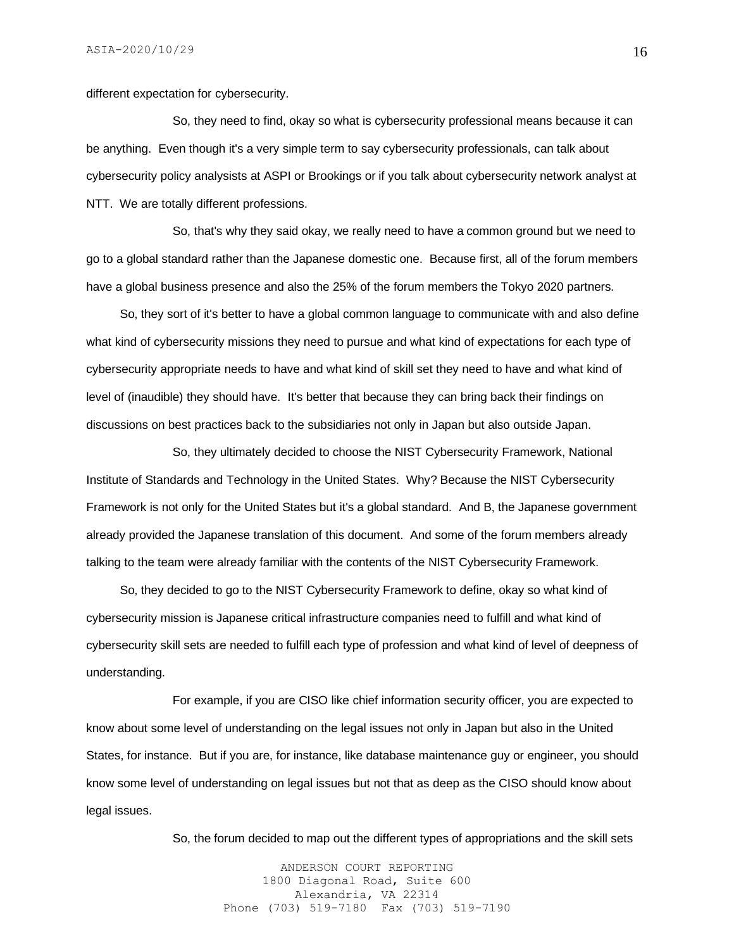different expectation for cybersecurity.

So, they need to find, okay so what is cybersecurity professional means because it can be anything. Even though it's a very simple term to say cybersecurity professionals, can talk about cybersecurity policy analysists at ASPI or Brookings or if you talk about cybersecurity network analyst at NTT. We are totally different professions.

So, that's why they said okay, we really need to have a common ground but we need to go to a global standard rather than the Japanese domestic one. Because first, all of the forum members have a global business presence and also the 25% of the forum members the Tokyo 2020 partners.

 So, they sort of it's better to have a global common language to communicate with and also define what kind of cybersecurity missions they need to pursue and what kind of expectations for each type of cybersecurity appropriate needs to have and what kind of skill set they need to have and what kind of level of (inaudible) they should have. It's better that because they can bring back their findings on discussions on best practices back to the subsidiaries not only in Japan but also outside Japan.

So, they ultimately decided to choose the NIST Cybersecurity Framework, National Institute of Standards and Technology in the United States. Why? Because the NIST Cybersecurity Framework is not only for the United States but it's a global standard. And B, the Japanese government already provided the Japanese translation of this document. And some of the forum members already talking to the team were already familiar with the contents of the NIST Cybersecurity Framework.

 So, they decided to go to the NIST Cybersecurity Framework to define, okay so what kind of cybersecurity mission is Japanese critical infrastructure companies need to fulfill and what kind of cybersecurity skill sets are needed to fulfill each type of profession and what kind of level of deepness of understanding.

For example, if you are CISO like chief information security officer, you are expected to know about some level of understanding on the legal issues not only in Japan but also in the United States, for instance. But if you are, for instance, like database maintenance guy or engineer, you should know some level of understanding on legal issues but not that as deep as the CISO should know about legal issues.

So, the forum decided to map out the different types of appropriations and the skill sets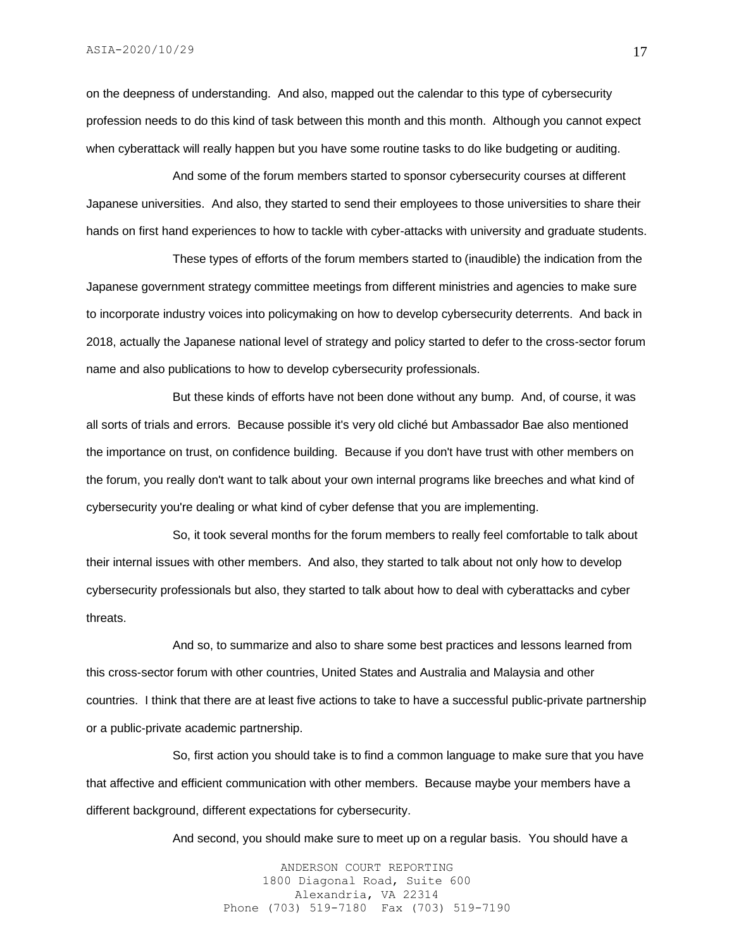on the deepness of understanding. And also, mapped out the calendar to this type of cybersecurity profession needs to do this kind of task between this month and this month. Although you cannot expect when cyberattack will really happen but you have some routine tasks to do like budgeting or auditing.

And some of the forum members started to sponsor cybersecurity courses at different Japanese universities. And also, they started to send their employees to those universities to share their hands on first hand experiences to how to tackle with cyber-attacks with university and graduate students.

These types of efforts of the forum members started to (inaudible) the indication from the Japanese government strategy committee meetings from different ministries and agencies to make sure to incorporate industry voices into policymaking on how to develop cybersecurity deterrents. And back in 2018, actually the Japanese national level of strategy and policy started to defer to the cross-sector forum name and also publications to how to develop cybersecurity professionals.

But these kinds of efforts have not been done without any bump. And, of course, it was all sorts of trials and errors. Because possible it's very old cliché but Ambassador Bae also mentioned the importance on trust, on confidence building. Because if you don't have trust with other members on the forum, you really don't want to talk about your own internal programs like breeches and what kind of cybersecurity you're dealing or what kind of cyber defense that you are implementing.

So, it took several months for the forum members to really feel comfortable to talk about their internal issues with other members. And also, they started to talk about not only how to develop cybersecurity professionals but also, they started to talk about how to deal with cyberattacks and cyber threats.

And so, to summarize and also to share some best practices and lessons learned from this cross-sector forum with other countries, United States and Australia and Malaysia and other countries. I think that there are at least five actions to take to have a successful public-private partnership or a public-private academic partnership.

So, first action you should take is to find a common language to make sure that you have that affective and efficient communication with other members. Because maybe your members have a different background, different expectations for cybersecurity.

And second, you should make sure to meet up on a regular basis. You should have a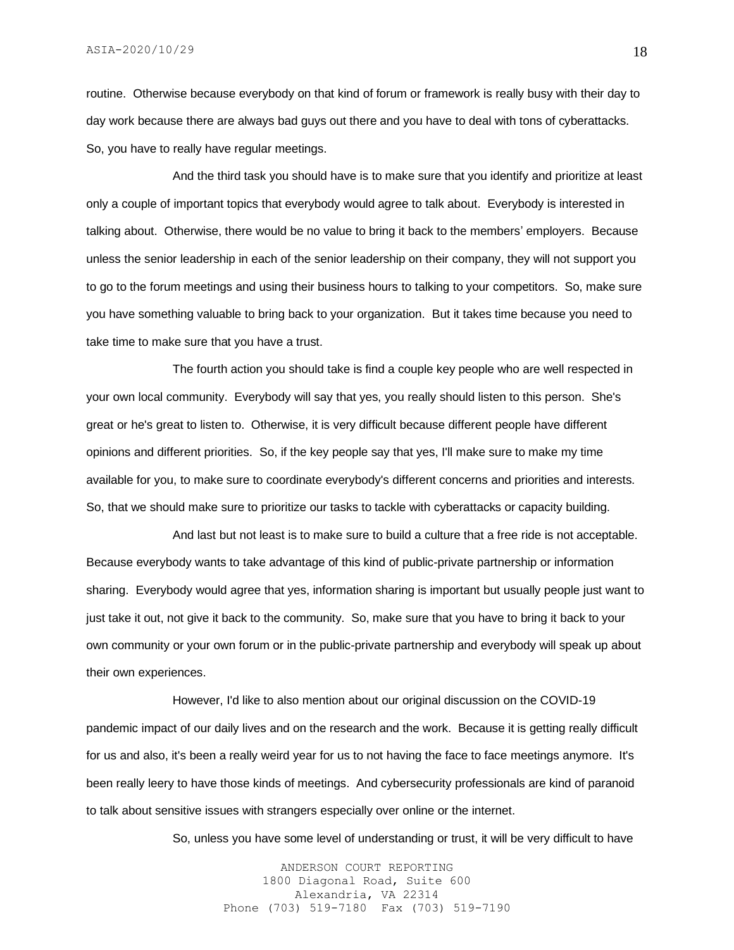routine. Otherwise because everybody on that kind of forum or framework is really busy with their day to day work because there are always bad guys out there and you have to deal with tons of cyberattacks. So, you have to really have regular meetings.

And the third task you should have is to make sure that you identify and prioritize at least only a couple of important topics that everybody would agree to talk about. Everybody is interested in talking about. Otherwise, there would be no value to bring it back to the members' employers. Because unless the senior leadership in each of the senior leadership on their company, they will not support you to go to the forum meetings and using their business hours to talking to your competitors. So, make sure you have something valuable to bring back to your organization. But it takes time because you need to take time to make sure that you have a trust.

The fourth action you should take is find a couple key people who are well respected in your own local community. Everybody will say that yes, you really should listen to this person. She's great or he's great to listen to. Otherwise, it is very difficult because different people have different opinions and different priorities. So, if the key people say that yes, I'll make sure to make my time available for you, to make sure to coordinate everybody's different concerns and priorities and interests. So, that we should make sure to prioritize our tasks to tackle with cyberattacks or capacity building.

And last but not least is to make sure to build a culture that a free ride is not acceptable. Because everybody wants to take advantage of this kind of public-private partnership or information sharing. Everybody would agree that yes, information sharing is important but usually people just want to just take it out, not give it back to the community. So, make sure that you have to bring it back to your own community or your own forum or in the public-private partnership and everybody will speak up about their own experiences.

However, I'd like to also mention about our original discussion on the COVID-19 pandemic impact of our daily lives and on the research and the work. Because it is getting really difficult for us and also, it's been a really weird year for us to not having the face to face meetings anymore. It's been really leery to have those kinds of meetings. And cybersecurity professionals are kind of paranoid to talk about sensitive issues with strangers especially over online or the internet.

So, unless you have some level of understanding or trust, it will be very difficult to have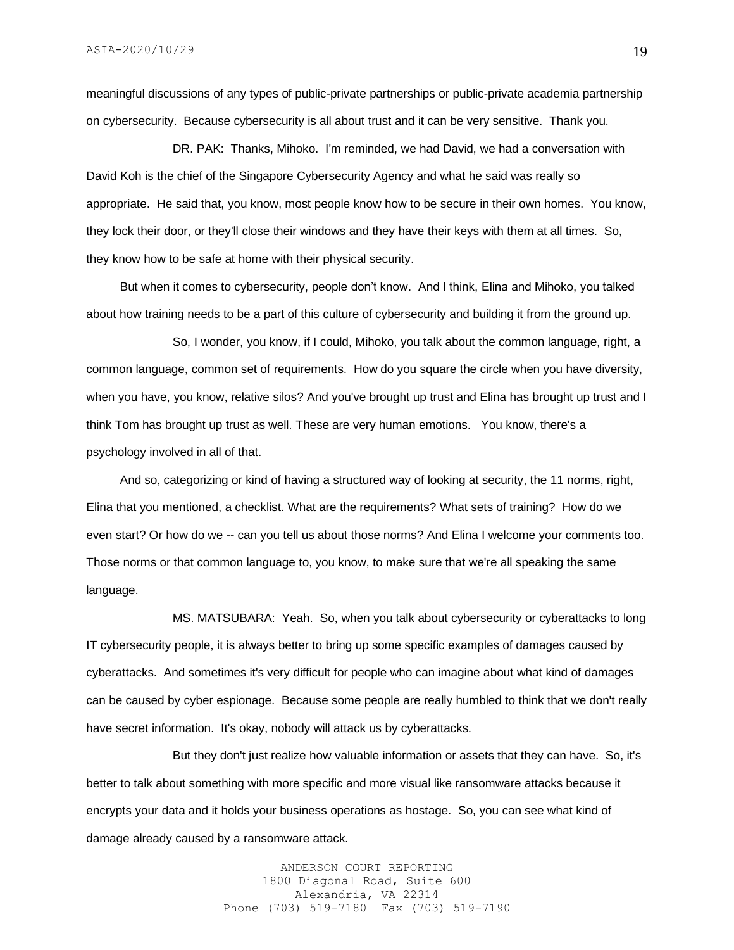meaningful discussions of any types of public-private partnerships or public-private academia partnership on cybersecurity. Because cybersecurity is all about trust and it can be very sensitive. Thank you.

DR. PAK: Thanks, Mihoko. I'm reminded, we had David, we had a conversation with David Koh is the chief of the Singapore Cybersecurity Agency and what he said was really so appropriate. He said that, you know, most people know how to be secure in their own homes. You know, they lock their door, or they'll close their windows and they have their keys with them at all times. So, they know how to be safe at home with their physical security.

 But when it comes to cybersecurity, people don't know. And I think, Elina and Mihoko, you talked about how training needs to be a part of this culture of cybersecurity and building it from the ground up.

So, I wonder, you know, if I could, Mihoko, you talk about the common language, right, a common language, common set of requirements. How do you square the circle when you have diversity, when you have, you know, relative silos? And you've brought up trust and Elina has brought up trust and I think Tom has brought up trust as well. These are very human emotions. You know, there's a psychology involved in all of that.

 And so, categorizing or kind of having a structured way of looking at security, the 11 norms, right, Elina that you mentioned, a checklist. What are the requirements? What sets of training? How do we even start? Or how do we -- can you tell us about those norms? And Elina I welcome your comments too. Those norms or that common language to, you know, to make sure that we're all speaking the same language.

MS. MATSUBARA: Yeah. So, when you talk about cybersecurity or cyberattacks to long IT cybersecurity people, it is always better to bring up some specific examples of damages caused by cyberattacks. And sometimes it's very difficult for people who can imagine about what kind of damages can be caused by cyber espionage. Because some people are really humbled to think that we don't really have secret information. It's okay, nobody will attack us by cyberattacks.

But they don't just realize how valuable information or assets that they can have. So, it's better to talk about something with more specific and more visual like ransomware attacks because it encrypts your data and it holds your business operations as hostage. So, you can see what kind of damage already caused by a ransomware attack.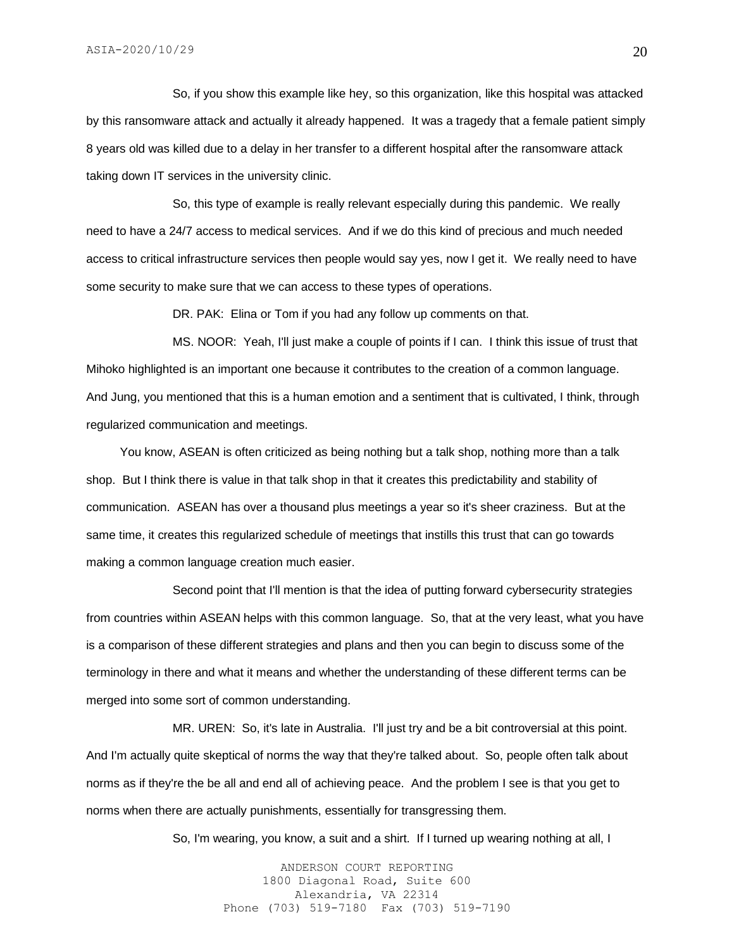So, if you show this example like hey, so this organization, like this hospital was attacked by this ransomware attack and actually it already happened. It was a tragedy that a female patient simply 8 years old was killed due to a delay in her transfer to a different hospital after the ransomware attack taking down IT services in the university clinic.

So, this type of example is really relevant especially during this pandemic. We really need to have a 24/7 access to medical services. And if we do this kind of precious and much needed access to critical infrastructure services then people would say yes, now I get it. We really need to have some security to make sure that we can access to these types of operations.

DR. PAK: Elina or Tom if you had any follow up comments on that.

MS. NOOR: Yeah, I'll just make a couple of points if I can. I think this issue of trust that Mihoko highlighted is an important one because it contributes to the creation of a common language. And Jung, you mentioned that this is a human emotion and a sentiment that is cultivated, I think, through regularized communication and meetings.

 You know, ASEAN is often criticized as being nothing but a talk shop, nothing more than a talk shop. But I think there is value in that talk shop in that it creates this predictability and stability of communication. ASEAN has over a thousand plus meetings a year so it's sheer craziness. But at the same time, it creates this regularized schedule of meetings that instills this trust that can go towards making a common language creation much easier.

Second point that I'll mention is that the idea of putting forward cybersecurity strategies from countries within ASEAN helps with this common language. So, that at the very least, what you have is a comparison of these different strategies and plans and then you can begin to discuss some of the terminology in there and what it means and whether the understanding of these different terms can be merged into some sort of common understanding.

MR. UREN: So, it's late in Australia. I'll just try and be a bit controversial at this point. And I'm actually quite skeptical of norms the way that they're talked about. So, people often talk about norms as if they're the be all and end all of achieving peace. And the problem I see is that you get to norms when there are actually punishments, essentially for transgressing them.

So, I'm wearing, you know, a suit and a shirt. If I turned up wearing nothing at all, I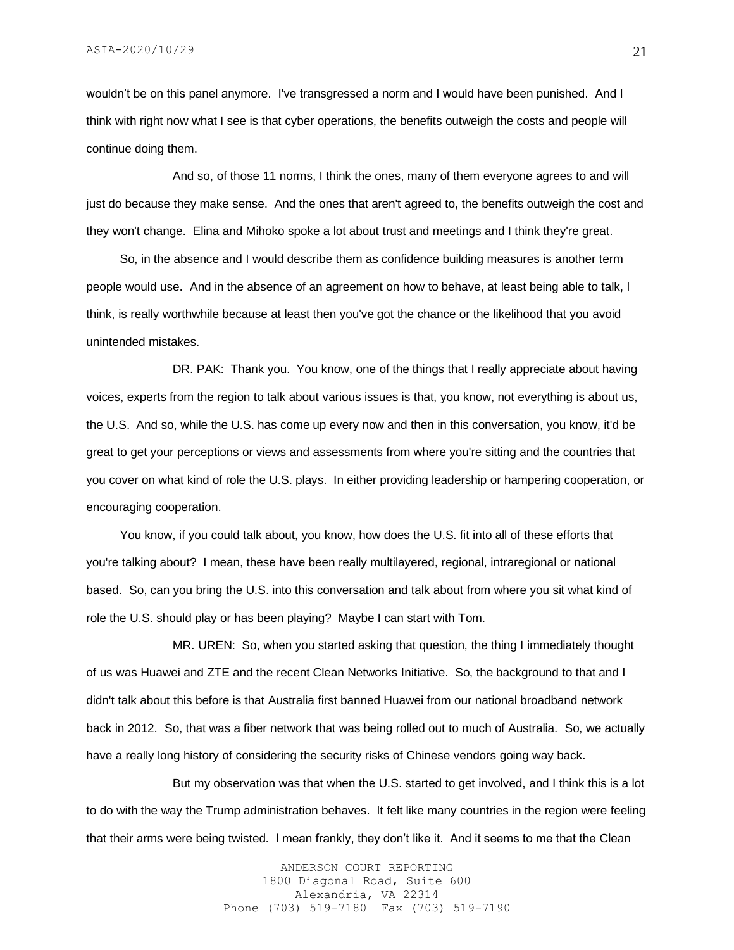wouldn't be on this panel anymore. I've transgressed a norm and I would have been punished. And I think with right now what I see is that cyber operations, the benefits outweigh the costs and people will continue doing them.

And so, of those 11 norms, I think the ones, many of them everyone agrees to and will just do because they make sense. And the ones that aren't agreed to, the benefits outweigh the cost and they won't change. Elina and Mihoko spoke a lot about trust and meetings and I think they're great.

 So, in the absence and I would describe them as confidence building measures is another term people would use. And in the absence of an agreement on how to behave, at least being able to talk, I think, is really worthwhile because at least then you've got the chance or the likelihood that you avoid unintended mistakes.

DR. PAK: Thank you. You know, one of the things that I really appreciate about having voices, experts from the region to talk about various issues is that, you know, not everything is about us, the U.S. And so, while the U.S. has come up every now and then in this conversation, you know, it'd be great to get your perceptions or views and assessments from where you're sitting and the countries that you cover on what kind of role the U.S. plays. In either providing leadership or hampering cooperation, or encouraging cooperation.

 You know, if you could talk about, you know, how does the U.S. fit into all of these efforts that you're talking about? I mean, these have been really multilayered, regional, intraregional or national based. So, can you bring the U.S. into this conversation and talk about from where you sit what kind of role the U.S. should play or has been playing? Maybe I can start with Tom.

MR. UREN: So, when you started asking that question, the thing I immediately thought of us was Huawei and ZTE and the recent Clean Networks Initiative. So, the background to that and I didn't talk about this before is that Australia first banned Huawei from our national broadband network back in 2012. So, that was a fiber network that was being rolled out to much of Australia. So, we actually have a really long history of considering the security risks of Chinese vendors going way back.

But my observation was that when the U.S. started to get involved, and I think this is a lot to do with the way the Trump administration behaves. It felt like many countries in the region were feeling that their arms were being twisted. I mean frankly, they don't like it. And it seems to me that the Clean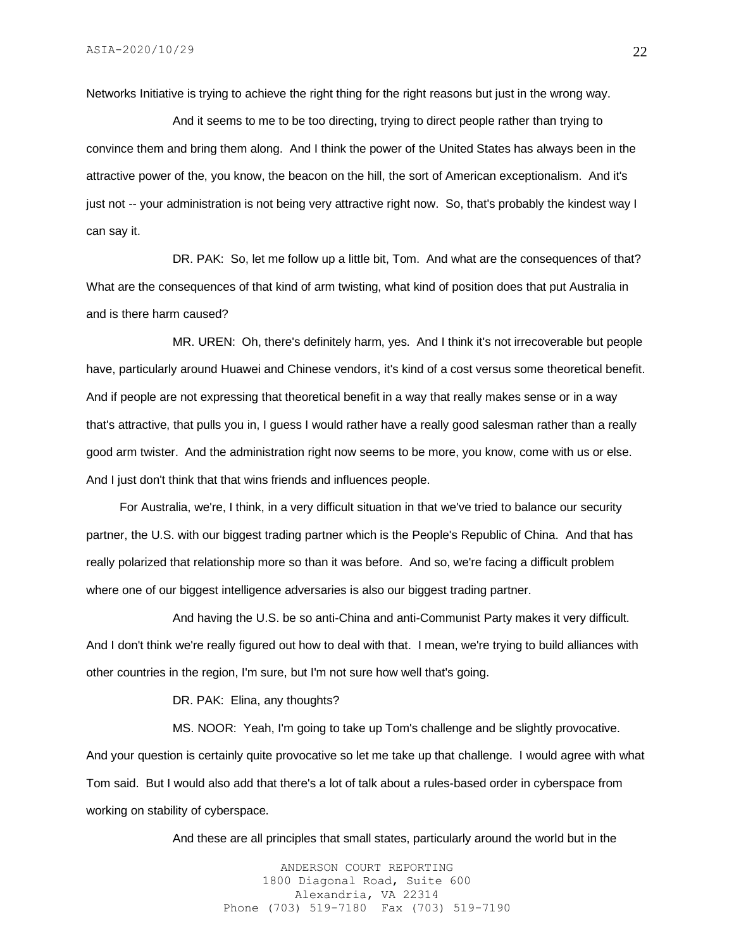Networks Initiative is trying to achieve the right thing for the right reasons but just in the wrong way.

And it seems to me to be too directing, trying to direct people rather than trying to convince them and bring them along. And I think the power of the United States has always been in the attractive power of the, you know, the beacon on the hill, the sort of American exceptionalism. And it's just not -- your administration is not being very attractive right now. So, that's probably the kindest way I can say it.

DR. PAK: So, let me follow up a little bit, Tom. And what are the consequences of that? What are the consequences of that kind of arm twisting, what kind of position does that put Australia in and is there harm caused?

MR. UREN: Oh, there's definitely harm, yes. And I think it's not irrecoverable but people have, particularly around Huawei and Chinese vendors, it's kind of a cost versus some theoretical benefit. And if people are not expressing that theoretical benefit in a way that really makes sense or in a way that's attractive, that pulls you in, I guess I would rather have a really good salesman rather than a really good arm twister. And the administration right now seems to be more, you know, come with us or else. And I just don't think that that wins friends and influences people.

 For Australia, we're, I think, in a very difficult situation in that we've tried to balance our security partner, the U.S. with our biggest trading partner which is the People's Republic of China. And that has really polarized that relationship more so than it was before. And so, we're facing a difficult problem where one of our biggest intelligence adversaries is also our biggest trading partner.

And having the U.S. be so anti-China and anti-Communist Party makes it very difficult. And I don't think we're really figured out how to deal with that. I mean, we're trying to build alliances with other countries in the region, I'm sure, but I'm not sure how well that's going.

DR. PAK: Elina, any thoughts?

MS. NOOR: Yeah, I'm going to take up Tom's challenge and be slightly provocative. And your question is certainly quite provocative so let me take up that challenge. I would agree with what Tom said. But I would also add that there's a lot of talk about a rules-based order in cyberspace from working on stability of cyberspace.

And these are all principles that small states, particularly around the world but in the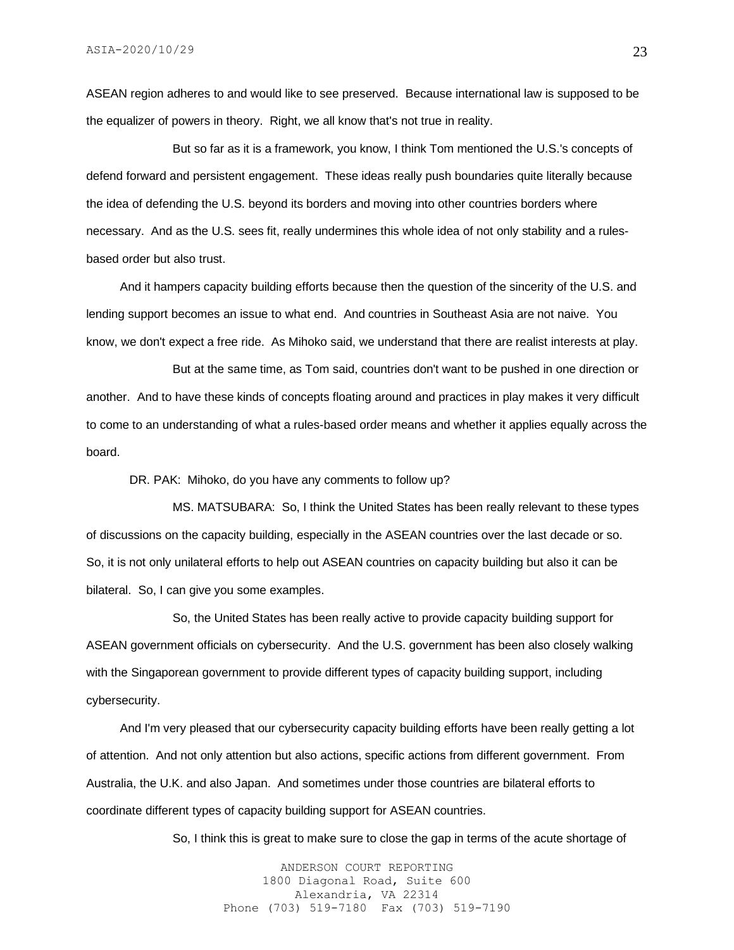ASEAN region adheres to and would like to see preserved. Because international law is supposed to be the equalizer of powers in theory. Right, we all know that's not true in reality.

But so far as it is a framework, you know, I think Tom mentioned the U.S.'s concepts of defend forward and persistent engagement. These ideas really push boundaries quite literally because the idea of defending the U.S. beyond its borders and moving into other countries borders where necessary. And as the U.S. sees fit, really undermines this whole idea of not only stability and a rulesbased order but also trust.

 And it hampers capacity building efforts because then the question of the sincerity of the U.S. and lending support becomes an issue to what end. And countries in Southeast Asia are not naive. You know, we don't expect a free ride. As Mihoko said, we understand that there are realist interests at play.

But at the same time, as Tom said, countries don't want to be pushed in one direction or another. And to have these kinds of concepts floating around and practices in play makes it very difficult to come to an understanding of what a rules-based order means and whether it applies equally across the board.

DR. PAK: Mihoko, do you have any comments to follow up?

MS. MATSUBARA: So, I think the United States has been really relevant to these types of discussions on the capacity building, especially in the ASEAN countries over the last decade or so. So, it is not only unilateral efforts to help out ASEAN countries on capacity building but also it can be bilateral. So, I can give you some examples.

So, the United States has been really active to provide capacity building support for ASEAN government officials on cybersecurity. And the U.S. government has been also closely walking with the Singaporean government to provide different types of capacity building support, including cybersecurity.

 And I'm very pleased that our cybersecurity capacity building efforts have been really getting a lot of attention. And not only attention but also actions, specific actions from different government. From Australia, the U.K. and also Japan. And sometimes under those countries are bilateral efforts to coordinate different types of capacity building support for ASEAN countries.

So, I think this is great to make sure to close the gap in terms of the acute shortage of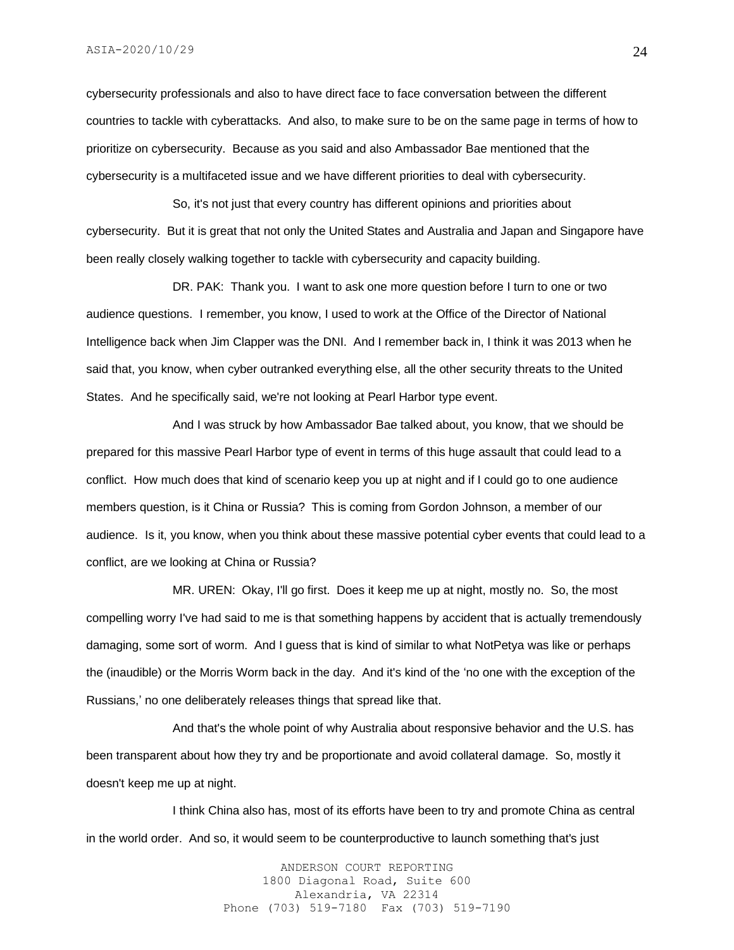ASIA-2020/10/29

cybersecurity professionals and also to have direct face to face conversation between the different countries to tackle with cyberattacks. And also, to make sure to be on the same page in terms of how to prioritize on cybersecurity. Because as you said and also Ambassador Bae mentioned that the cybersecurity is a multifaceted issue and we have different priorities to deal with cybersecurity.

So, it's not just that every country has different opinions and priorities about cybersecurity. But it is great that not only the United States and Australia and Japan and Singapore have been really closely walking together to tackle with cybersecurity and capacity building.

DR. PAK: Thank you. I want to ask one more question before I turn to one or two audience questions. I remember, you know, I used to work at the Office of the Director of National Intelligence back when Jim Clapper was the DNI. And I remember back in, I think it was 2013 when he said that, you know, when cyber outranked everything else, all the other security threats to the United States. And he specifically said, we're not looking at Pearl Harbor type event.

And I was struck by how Ambassador Bae talked about, you know, that we should be prepared for this massive Pearl Harbor type of event in terms of this huge assault that could lead to a conflict. How much does that kind of scenario keep you up at night and if I could go to one audience members question, is it China or Russia? This is coming from Gordon Johnson, a member of our audience. Is it, you know, when you think about these massive potential cyber events that could lead to a conflict, are we looking at China or Russia?

MR. UREN: Okay, I'll go first. Does it keep me up at night, mostly no. So, the most compelling worry I've had said to me is that something happens by accident that is actually tremendously damaging, some sort of worm. And I guess that is kind of similar to what NotPetya was like or perhaps the (inaudible) or the Morris Worm back in the day. And it's kind of the 'no one with the exception of the Russians,' no one deliberately releases things that spread like that.

And that's the whole point of why Australia about responsive behavior and the U.S. has been transparent about how they try and be proportionate and avoid collateral damage. So, mostly it doesn't keep me up at night.

I think China also has, most of its efforts have been to try and promote China as central in the world order. And so, it would seem to be counterproductive to launch something that's just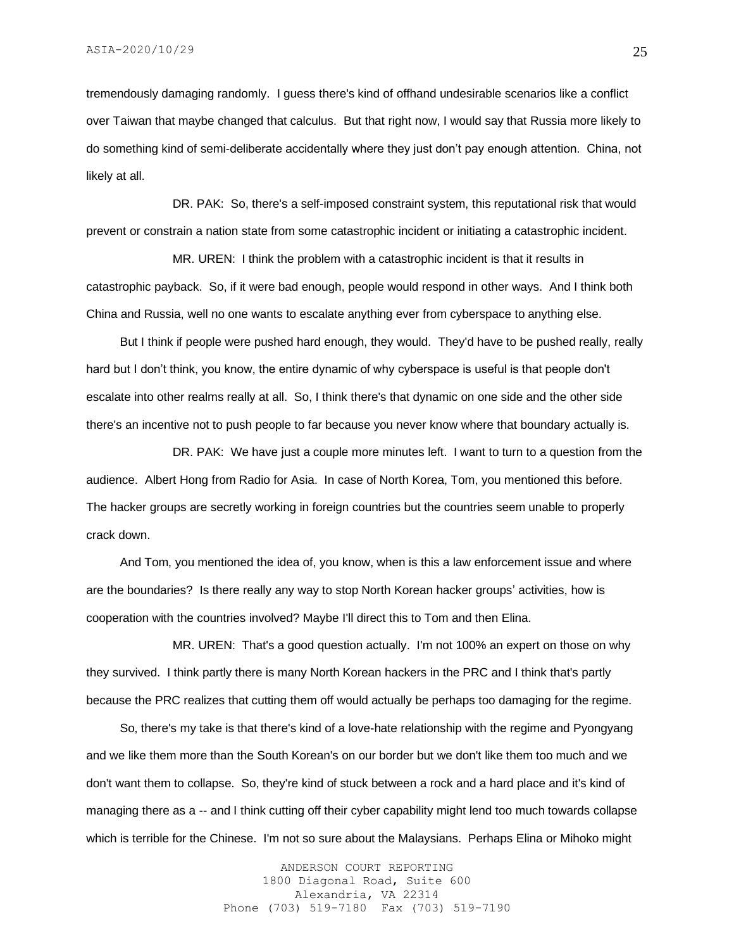tremendously damaging randomly. I guess there's kind of offhand undesirable scenarios like a conflict over Taiwan that maybe changed that calculus. But that right now, I would say that Russia more likely to do something kind of semi-deliberate accidentally where they just don't pay enough attention. China, not likely at all.

DR. PAK: So, there's a self-imposed constraint system, this reputational risk that would prevent or constrain a nation state from some catastrophic incident or initiating a catastrophic incident.

MR. UREN: I think the problem with a catastrophic incident is that it results in catastrophic payback. So, if it were bad enough, people would respond in other ways. And I think both China and Russia, well no one wants to escalate anything ever from cyberspace to anything else.

 But I think if people were pushed hard enough, they would. They'd have to be pushed really, really hard but I don't think, you know, the entire dynamic of why cyberspace is useful is that people don't escalate into other realms really at all. So, I think there's that dynamic on one side and the other side there's an incentive not to push people to far because you never know where that boundary actually is.

DR. PAK: We have just a couple more minutes left. I want to turn to a question from the audience. Albert Hong from Radio for Asia. In case of North Korea, Tom, you mentioned this before. The hacker groups are secretly working in foreign countries but the countries seem unable to properly crack down.

 And Tom, you mentioned the idea of, you know, when is this a law enforcement issue and where are the boundaries? Is there really any way to stop North Korean hacker groups' activities, how is cooperation with the countries involved? Maybe I'll direct this to Tom and then Elina.

MR. UREN: That's a good question actually. I'm not 100% an expert on those on why they survived. I think partly there is many North Korean hackers in the PRC and I think that's partly because the PRC realizes that cutting them off would actually be perhaps too damaging for the regime.

 So, there's my take is that there's kind of a love-hate relationship with the regime and Pyongyang and we like them more than the South Korean's on our border but we don't like them too much and we don't want them to collapse. So, they're kind of stuck between a rock and a hard place and it's kind of managing there as a -- and I think cutting off their cyber capability might lend too much towards collapse which is terrible for the Chinese. I'm not so sure about the Malaysians. Perhaps Elina or Mihoko might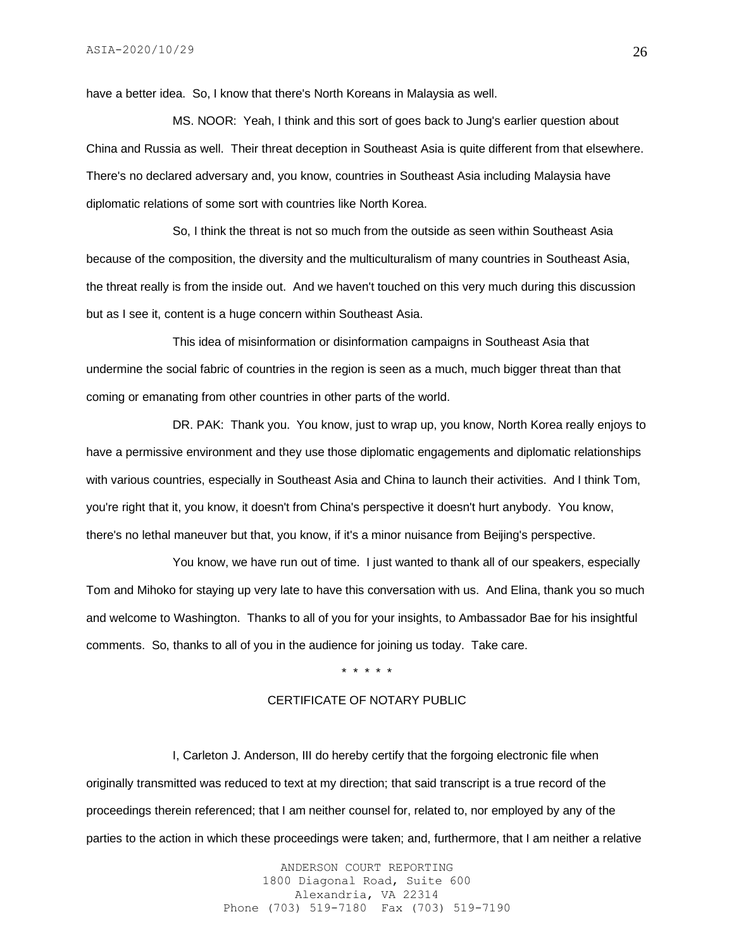have a better idea. So, I know that there's North Koreans in Malaysia as well.

MS. NOOR: Yeah, I think and this sort of goes back to Jung's earlier question about China and Russia as well. Their threat deception in Southeast Asia is quite different from that elsewhere. There's no declared adversary and, you know, countries in Southeast Asia including Malaysia have diplomatic relations of some sort with countries like North Korea.

So, I think the threat is not so much from the outside as seen within Southeast Asia because of the composition, the diversity and the multiculturalism of many countries in Southeast Asia, the threat really is from the inside out. And we haven't touched on this very much during this discussion but as I see it, content is a huge concern within Southeast Asia.

This idea of misinformation or disinformation campaigns in Southeast Asia that undermine the social fabric of countries in the region is seen as a much, much bigger threat than that coming or emanating from other countries in other parts of the world.

DR. PAK: Thank you. You know, just to wrap up, you know, North Korea really enjoys to have a permissive environment and they use those diplomatic engagements and diplomatic relationships with various countries, especially in Southeast Asia and China to launch their activities. And I think Tom, you're right that it, you know, it doesn't from China's perspective it doesn't hurt anybody. You know, there's no lethal maneuver but that, you know, if it's a minor nuisance from Beijing's perspective.

You know, we have run out of time. I just wanted to thank all of our speakers, especially Tom and Mihoko for staying up very late to have this conversation with us. And Elina, thank you so much and welcome to Washington. Thanks to all of you for your insights, to Ambassador Bae for his insightful comments. So, thanks to all of you in the audience for joining us today. Take care.

#### \* \* \* \* \*

# CERTIFICATE OF NOTARY PUBLIC

I, Carleton J. Anderson, III do hereby certify that the forgoing electronic file when originally transmitted was reduced to text at my direction; that said transcript is a true record of the proceedings therein referenced; that I am neither counsel for, related to, nor employed by any of the parties to the action in which these proceedings were taken; and, furthermore, that I am neither a relative